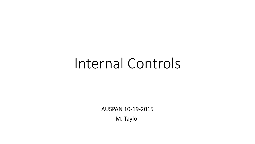# Internal Controls

AUSPAN 10-19-2015

M. Taylor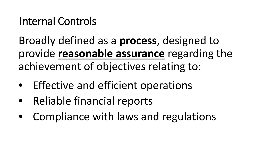## Internal Controls

Broadly defined as a **process**, designed to provide **reasonable assurance** regarding the achievement of objectives relating to:

- Effective and efficient operations
- Reliable financial reports
- Compliance with laws and regulations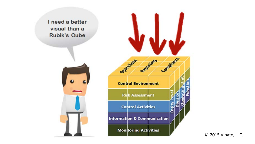



© 2015 Vibato, LLC.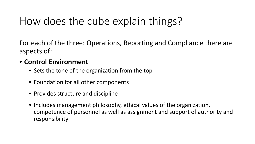For each of the three: Operations, Reporting and Compliance there are aspects of:

#### • **Control Environment**

- Sets the tone of the organization from the top
- Foundation for all other components
- Provides structure and discipline
- Includes management philosophy, ethical values of the organization, competence of personnel as well as assignment and support of authority and responsibility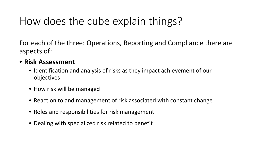For each of the three: Operations, Reporting and Compliance there are aspects of:

#### • **Risk Assessment**

- Identification and analysis of risks as they impact achievement of our objectives
- How risk will be managed
- Reaction to and management of risk associated with constant change
- Roles and responsibilities for risk management
- Dealing with specialized risk related to benefit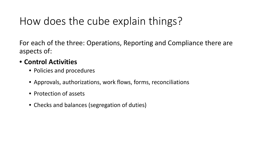For each of the three: Operations, Reporting and Compliance there are aspects of:

#### • **Control Activities**

- Policies and procedures
- Approvals, authorizations, work flows, forms, reconciliations
- Protection of assets
- Checks and balances (segregation of duties)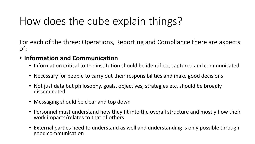For each of the three: Operations, Reporting and Compliance there are aspects of:

#### • **Information and Communication**

- Information critical to the institution should be identified, captured and communicated
- Necessary for people to carry out their responsibilities and make good decisions
- Not just data but philosophy, goals, objectives, strategies etc. should be broadly disseminated
- Messaging should be clear and top down
- Personnel must understand how they fit into the overall structure and mostly how their work impacts/relates to that of others
- External parties need to understand as well and understanding is only possible through good communication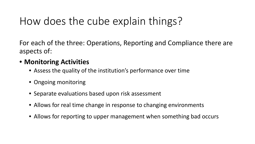For each of the three: Operations, Reporting and Compliance there are aspects of:

#### • **Monitoring Activities**

- Assess the quality of the institution's performance over time
- Ongoing monitoring
- Separate evaluations based upon risk assessment
- Allows for real time change in response to changing environments
- Allows for reporting to upper management when something bad occurs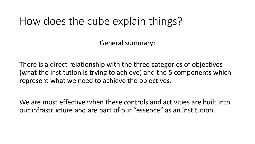General summary:

There is a direct relationship with the three categories of objectives (what the institution is trying to achieve) and the 5 components which represent what we need to achieve the objectives.

We are most effective when these controls and activities are built into our infrastructure and are part of our "essence" as an institution.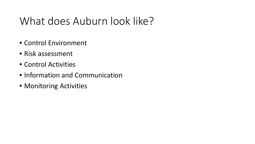## What does Auburn look like?

- Control Environment
- Risk assessment
- Control Activities
- Information and Communication
- Monitoring Activities